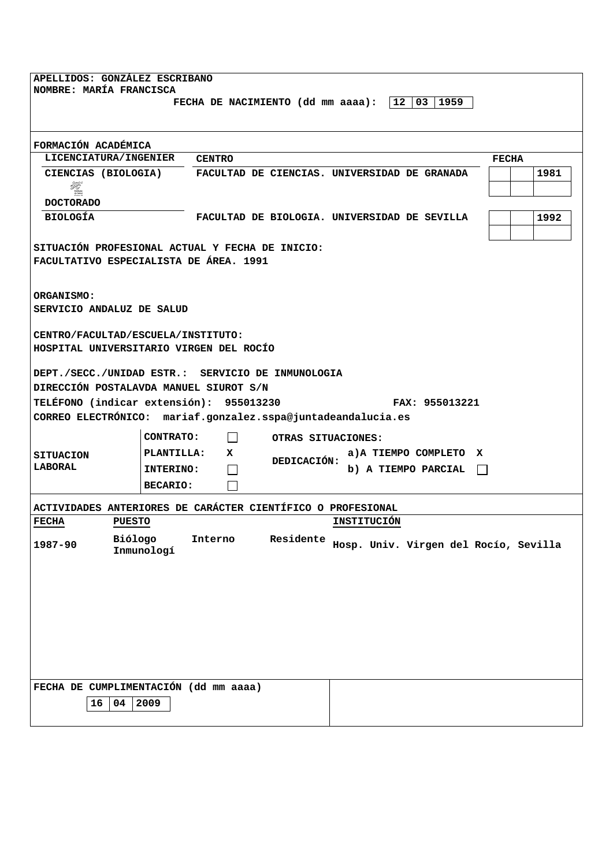| APELLIDOS: GONZÁLEZ ESCRIBANO<br>NOMBRE: MARÍA FRANCISCA<br>FECHA DE NACIMIENTO (dd mm aaaa): $ 12 03 1959$               |                                     |                                            |                                                                  |      |
|---------------------------------------------------------------------------------------------------------------------------|-------------------------------------|--------------------------------------------|------------------------------------------------------------------|------|
| FORMACIÓN ACADÉMICA                                                                                                       |                                     |                                            |                                                                  |      |
| <b>LICENCIATURA/INGENIER</b>                                                                                              | <b>CENTRO</b>                       | <b>FECHA</b>                               |                                                                  |      |
| Æ.<br>buttute<br>de Salve                                                                                                 |                                     |                                            | CIENCIAS (BIOLOGIA) FACULTAD DE CIENCIAS. UNIVERSIDAD DE GRANADA | 1981 |
| <b>DOCTORADO</b><br><b>BIOLOGÍA</b>                                                                                       |                                     |                                            | FACULTAD DE BIOLOGIA. UNIVERSIDAD DE SEVILLA                     | 1992 |
| SITUACIÓN PROFESIONAL ACTUAL Y FECHA DE INICIO:<br>FACULTATIVO ESPECIALISTA DE ÁREA. 1991                                 |                                     |                                            |                                                                  |      |
| ORGANISMO:<br>SERVICIO ANDALUZ DE SALUD                                                                                   |                                     |                                            |                                                                  |      |
| CENTRO/FACULTAD/ESCUELA/INSTITUTO:<br>HOSPITAL UNIVERSITARIO VIRGEN DEL ROCÍO                                             |                                     |                                            |                                                                  |      |
| DEPT./SECC./UNIDAD ESTR.: SERVICIO DE INMUNOLOGIA                                                                         |                                     |                                            |                                                                  |      |
| DIRECCIÓN POSTALAVDA MANUEL SIUROT S/N                                                                                    |                                     |                                            |                                                                  |      |
| TELÉFONO (indicar extensión): 955013230<br>FAX: 955013221<br>CORREO ELECTRÓNICO: mariaf.gonzalez.sspa@juntadeandalucia.es |                                     |                                            |                                                                  |      |
| OTRAS SITUACIONES:                                                                                                        |                                     |                                            |                                                                  |      |
|                                                                                                                           | <b>CONTRATO:</b><br>$\mathbf{I}$    |                                            |                                                                  |      |
| <b>SITUACION</b><br>LABORAL                                                                                               | <b>PLANTILLA:</b>                   | a)A TIEMPO COMPLETO X<br>X.<br>DEDICACIÓN: |                                                                  |      |
|                                                                                                                           | <b>INTERINO:</b><br><b>BECARIO:</b> |                                            | b) A TIEMPO PARCIAL                                              |      |
| ACTIVIDADES ANTERIORES DE CARÁCTER CIENTÍFICO O PROFESIONAL                                                               |                                     |                                            |                                                                  |      |
| INSTITUCIÓN<br><b>FECHA</b><br><b>PUESTO</b>                                                                              |                                     |                                            |                                                                  |      |
| Biólogo<br>Residente<br>Interno<br>Hosp. Univ. Virgen del Rocío, Sevilla<br>1987-90<br>Inmunologí                         |                                     |                                            |                                                                  |      |
|                                                                                                                           |                                     |                                            |                                                                  |      |
|                                                                                                                           |                                     |                                            |                                                                  |      |
|                                                                                                                           |                                     |                                            |                                                                  |      |
|                                                                                                                           |                                     |                                            |                                                                  |      |
|                                                                                                                           |                                     |                                            |                                                                  |      |
| FECHA DE CUMPLIMENTACIÓN (dd mm aaaa)<br>04<br>2009<br>16                                                                 |                                     |                                            |                                                                  |      |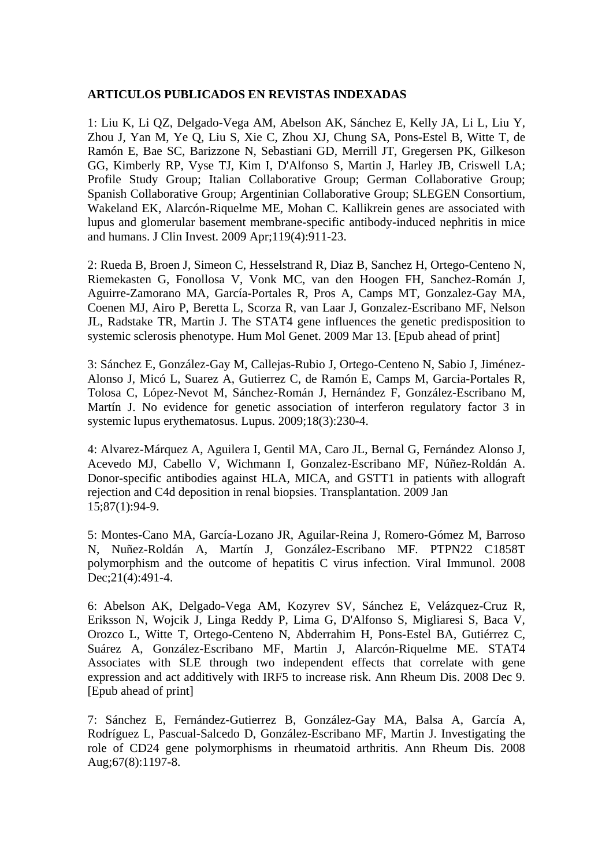## **ARTICULOS PUBLICADOS EN REVISTAS INDEXADAS**

1: Liu K, Li QZ, Delgado-Vega AM, Abelson AK, Sánchez E, Kelly JA, Li L, Liu Y, Zhou J, Yan M, Ye Q, Liu S, Xie C, Zhou XJ, Chung SA, Pons-Estel B, Witte T, de Ramón E, Bae SC, Barizzone N, Sebastiani GD, Merrill JT, Gregersen PK, Gilkeson GG, Kimberly RP, Vyse TJ, Kim I, D'Alfonso S, Martin J, Harley JB, Criswell LA; Profile Study Group; Italian Collaborative Group; German Collaborative Group; Spanish Collaborative Group; Argentinian Collaborative Group; SLEGEN Consortium, Wakeland EK, Alarcón-Riquelme ME, Mohan C. Kallikrein genes are associated with lupus and glomerular basement membrane-specific antibody-induced nephritis in mice and humans. J Clin Invest. 2009 Apr;119(4):911-23.

2: Rueda B, Broen J, Simeon C, Hesselstrand R, Diaz B, Sanchez H, Ortego-Centeno N, Riemekasten G, Fonollosa V, Vonk MC, van den Hoogen FH, Sanchez-Román J, Aguirre-Zamorano MA, García-Portales R, Pros A, Camps MT, Gonzalez-Gay MA, Coenen MJ, Airo P, Beretta L, Scorza R, van Laar J, Gonzalez-Escribano MF, Nelson JL, Radstake TR, Martin J. The STAT4 gene influences the genetic predisposition to systemic sclerosis phenotype. Hum Mol Genet. 2009 Mar 13. [Epub ahead of print]

3: Sánchez E, González-Gay M, Callejas-Rubio J, Ortego-Centeno N, Sabio J, Jiménez-Alonso J, Micó L, Suarez A, Gutierrez C, de Ramón E, Camps M, Garcia-Portales R, Tolosa C, López-Nevot M, Sánchez-Román J, Hernández F, González-Escribano M, Martín J. No evidence for genetic association of interferon regulatory factor 3 in systemic lupus erythematosus. Lupus. 2009;18(3):230-4.

4: Alvarez-Márquez A, Aguilera I, Gentil MA, Caro JL, Bernal G, Fernández Alonso J, Acevedo MJ, Cabello V, Wichmann I, Gonzalez-Escribano MF, Núñez-Roldán A. Donor-specific antibodies against HLA, MICA, and GSTT1 in patients with allograft rejection and C4d deposition in renal biopsies. Transplantation. 2009 Jan 15;87(1):94-9.

5: Montes-Cano MA, García-Lozano JR, Aguilar-Reina J, Romero-Gómez M, Barroso N, Nuñez-Roldán A, Martín J, González-Escribano MF. PTPN22 C1858T polymorphism and the outcome of hepatitis C virus infection. Viral Immunol. 2008 Dec; 21(4): 491-4.

6: Abelson AK, Delgado-Vega AM, Kozyrev SV, Sánchez E, Velázquez-Cruz R, Eriksson N, Wojcik J, Linga Reddy P, Lima G, D'Alfonso S, Migliaresi S, Baca V, Orozco L, Witte T, Ortego-Centeno N, Abderrahim H, Pons-Estel BA, Gutiérrez C, Suárez A, González-Escribano MF, Martin J, Alarcón-Riquelme ME. STAT4 Associates with SLE through two independent effects that correlate with gene expression and act additively with IRF5 to increase risk. Ann Rheum Dis. 2008 Dec 9. [Epub ahead of print]

7: Sánchez E, Fernández-Gutierrez B, González-Gay MA, Balsa A, García A, Rodríguez L, Pascual-Salcedo D, González-Escribano MF, Martin J. Investigating the role of CD24 gene polymorphisms in rheumatoid arthritis. Ann Rheum Dis. 2008 Aug;67(8):1197-8.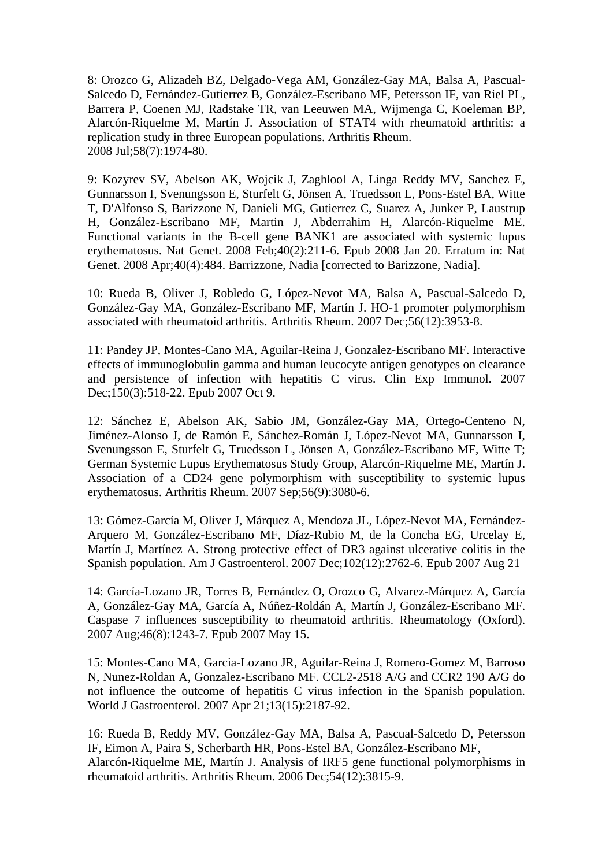8: Orozco G, Alizadeh BZ, Delgado-Vega AM, González-Gay MA, Balsa A, Pascual-Salcedo D, Fernández-Gutierrez B, González-Escribano MF, Petersson IF, van Riel PL, Barrera P, Coenen MJ, Radstake TR, van Leeuwen MA, Wijmenga C, Koeleman BP, Alarcón-Riquelme M, Martín J. Association of STAT4 with rheumatoid arthritis: a replication study in three European populations. Arthritis Rheum. 2008 Jul;58(7):1974-80.

9: Kozyrev SV, Abelson AK, Wojcik J, Zaghlool A, Linga Reddy MV, Sanchez E, Gunnarsson I, Svenungsson E, Sturfelt G, Jönsen A, Truedsson L, Pons-Estel BA, Witte T, D'Alfonso S, Barizzone N, Danieli MG, Gutierrez C, Suarez A, Junker P, Laustrup H, González-Escribano MF, Martin J, Abderrahim H, Alarcón-Riquelme ME. Functional variants in the B-cell gene BANK1 are associated with systemic lupus erythematosus. Nat Genet. 2008 Feb;40(2):211-6. Epub 2008 Jan 20. Erratum in: Nat Genet. 2008 Apr;40(4):484. Barrizzone, Nadia [corrected to Barizzone, Nadia].

10: Rueda B, Oliver J, Robledo G, López-Nevot MA, Balsa A, Pascual-Salcedo D, González-Gay MA, González-Escribano MF, Martín J. HO-1 promoter polymorphism associated with rheumatoid arthritis. Arthritis Rheum. 2007 Dec;56(12):3953-8.

11: Pandey JP, Montes-Cano MA, Aguilar-Reina J, Gonzalez-Escribano MF. Interactive effects of immunoglobulin gamma and human leucocyte antigen genotypes on clearance and persistence of infection with hepatitis C virus. Clin Exp Immunol. 2007 Dec;150(3):518-22. Epub 2007 Oct 9.

12: Sánchez E, Abelson AK, Sabio JM, González-Gay MA, Ortego-Centeno N, Jiménez-Alonso J, de Ramón E, Sánchez-Román J, López-Nevot MA, Gunnarsson I, Svenungsson E, Sturfelt G, Truedsson L, Jönsen A, González-Escribano MF, Witte T; German Systemic Lupus Erythematosus Study Group, Alarcón-Riquelme ME, Martín J. Association of a CD24 gene polymorphism with susceptibility to systemic lupus erythematosus. Arthritis Rheum. 2007 Sep;56(9):3080-6.

13: Gómez-García M, Oliver J, Márquez A, Mendoza JL, López-Nevot MA, Fernández-Arquero M, González-Escribano MF, Díaz-Rubio M, de la Concha EG, Urcelay E, Martín J, Martínez A. Strong protective effect of DR3 against ulcerative colitis in the Spanish population. Am J Gastroenterol. 2007 Dec;102(12):2762-6. Epub 2007 Aug 21

14: García-Lozano JR, Torres B, Fernández O, Orozco G, Alvarez-Márquez A, García A, González-Gay MA, García A, Núñez-Roldán A, Martín J, González-Escribano MF. Caspase 7 influences susceptibility to rheumatoid arthritis. Rheumatology (Oxford). 2007 Aug;46(8):1243-7. Epub 2007 May 15.

15: Montes-Cano MA, Garcia-Lozano JR, Aguilar-Reina J, Romero-Gomez M, Barroso N, Nunez-Roldan A, Gonzalez-Escribano MF. CCL2-2518 A/G and CCR2 190 A/G do not influence the outcome of hepatitis C virus infection in the Spanish population. World J Gastroenterol. 2007 Apr 21;13(15):2187-92.

16: Rueda B, Reddy MV, González-Gay MA, Balsa A, Pascual-Salcedo D, Petersson IF, Eimon A, Paira S, Scherbarth HR, Pons-Estel BA, González-Escribano MF, Alarcón-Riquelme ME, Martín J. Analysis of IRF5 gene functional polymorphisms in rheumatoid arthritis. Arthritis Rheum. 2006 Dec;54(12):3815-9.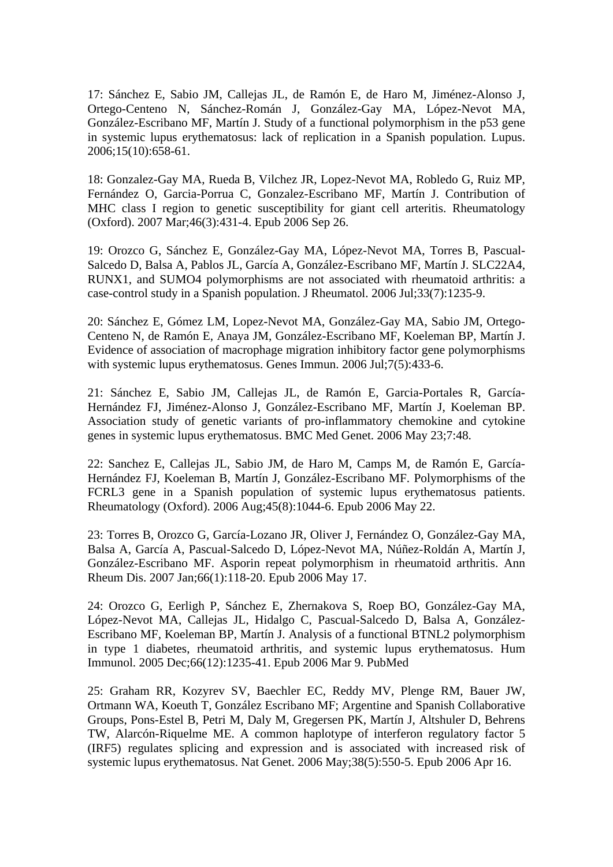17: Sánchez E, Sabio JM, Callejas JL, de Ramón E, de Haro M, Jiménez-Alonso J, Ortego-Centeno N, Sánchez-Román J, González-Gay MA, López-Nevot MA, González-Escribano MF, Martín J. Study of a functional polymorphism in the p53 gene in systemic lupus erythematosus: lack of replication in a Spanish population. Lupus. 2006;15(10):658-61.

18: Gonzalez-Gay MA, Rueda B, Vilchez JR, Lopez-Nevot MA, Robledo G, Ruiz MP, Fernández O, Garcia-Porrua C, Gonzalez-Escribano MF, Martín J. Contribution of MHC class I region to genetic susceptibility for giant cell arteritis. Rheumatology (Oxford). 2007 Mar;46(3):431-4. Epub 2006 Sep 26.

19: Orozco G, Sánchez E, González-Gay MA, López-Nevot MA, Torres B, Pascual-Salcedo D, Balsa A, Pablos JL, García A, González-Escribano MF, Martín J. SLC22A4, RUNX1, and SUMO4 polymorphisms are not associated with rheumatoid arthritis: a case-control study in a Spanish population. J Rheumatol. 2006 Jul;33(7):1235-9.

20: Sánchez E, Gómez LM, Lopez-Nevot MA, González-Gay MA, Sabio JM, Ortego-Centeno N, de Ramón E, Anaya JM, González-Escribano MF, Koeleman BP, Martín J. Evidence of association of macrophage migration inhibitory factor gene polymorphisms with systemic lupus erythematosus. Genes Immun. 2006 Jul;7(5):433-6.

21: Sánchez E, Sabio JM, Callejas JL, de Ramón E, Garcia-Portales R, García-Hernández FJ, Jiménez-Alonso J, González-Escribano MF, Martín J, Koeleman BP. Association study of genetic variants of pro-inflammatory chemokine and cytokine genes in systemic lupus erythematosus. BMC Med Genet. 2006 May 23;7:48.

22: Sanchez E, Callejas JL, Sabio JM, de Haro M, Camps M, de Ramón E, García-Hernández FJ, Koeleman B, Martín J, González-Escribano MF. Polymorphisms of the FCRL3 gene in a Spanish population of systemic lupus erythematosus patients. Rheumatology (Oxford). 2006 Aug;45(8):1044-6. Epub 2006 May 22.

23: Torres B, Orozco G, García-Lozano JR, Oliver J, Fernández O, González-Gay MA, Balsa A, García A, Pascual-Salcedo D, López-Nevot MA, Núñez-Roldán A, Martín J, González-Escribano MF. Asporin repeat polymorphism in rheumatoid arthritis. Ann Rheum Dis. 2007 Jan;66(1):118-20. Epub 2006 May 17.

24: Orozco G, Eerligh P, Sánchez E, Zhernakova S, Roep BO, González-Gay MA, López-Nevot MA, Callejas JL, Hidalgo C, Pascual-Salcedo D, Balsa A, González-Escribano MF, Koeleman BP, Martín J. Analysis of a functional BTNL2 polymorphism in type 1 diabetes, rheumatoid arthritis, and systemic lupus erythematosus. Hum Immunol. 2005 Dec;66(12):1235-41. Epub 2006 Mar 9. PubMed

25: Graham RR, Kozyrev SV, Baechler EC, Reddy MV, Plenge RM, Bauer JW, Ortmann WA, Koeuth T, González Escribano MF; Argentine and Spanish Collaborative Groups, Pons-Estel B, Petri M, Daly M, Gregersen PK, Martín J, Altshuler D, Behrens TW, Alarcón-Riquelme ME. A common haplotype of interferon regulatory factor 5 (IRF5) regulates splicing and expression and is associated with increased risk of systemic lupus erythematosus. Nat Genet. 2006 May;38(5):550-5. Epub 2006 Apr 16.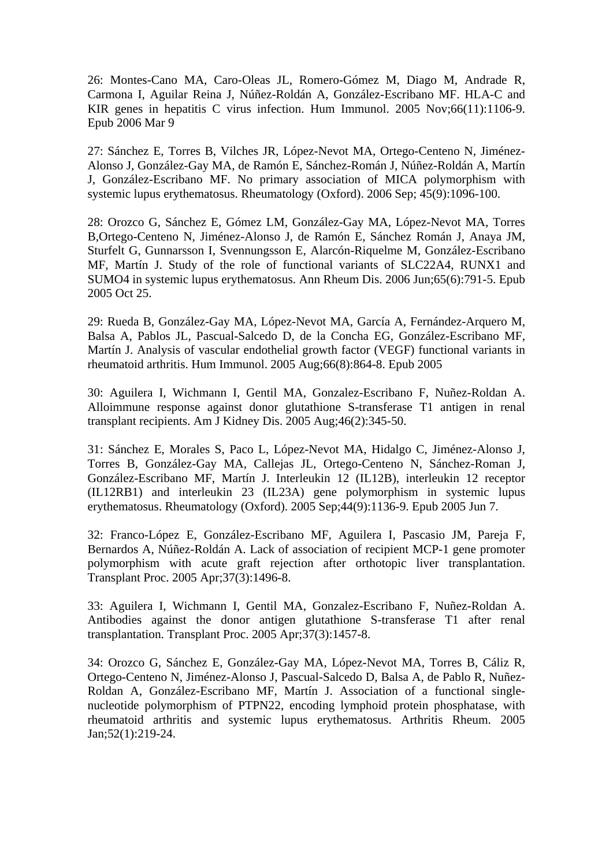26: Montes-Cano MA, Caro-Oleas JL, Romero-Gómez M, Diago M, Andrade R, Carmona I, Aguilar Reina J, Núñez-Roldán A, González-Escribano MF. HLA-C and KIR genes in hepatitis C virus infection. Hum Immunol. 2005 Nov;66(11):1106-9. Epub 2006 Mar 9

27: Sánchez E, Torres B, Vilches JR, López-Nevot MA, Ortego-Centeno N, Jiménez-Alonso J, González-Gay MA, de Ramón E, Sánchez-Román J, Núñez-Roldán A, Martín J, González-Escribano MF. No primary association of MICA polymorphism with systemic lupus erythematosus. Rheumatology (Oxford). 2006 Sep; 45(9):1096-100.

28: Orozco G, Sánchez E, Gómez LM, González-Gay MA, López-Nevot MA, Torres B,Ortego-Centeno N, Jiménez-Alonso J, de Ramón E, Sánchez Román J, Anaya JM, Sturfelt G, Gunnarsson I, Svennungsson E, Alarcón-Riquelme M, González-Escribano MF, Martín J. Study of the role of functional variants of SLC22A4, RUNX1 and SUMO4 in systemic lupus erythematosus. Ann Rheum Dis. 2006 Jun;65(6):791-5. Epub 2005 Oct 25.

29: Rueda B, González-Gay MA, López-Nevot MA, García A, Fernández-Arquero M, Balsa A, Pablos JL, Pascual-Salcedo D, de la Concha EG, González-Escribano MF, Martín J. Analysis of vascular endothelial growth factor (VEGF) functional variants in rheumatoid arthritis. Hum Immunol. 2005 Aug;66(8):864-8. Epub 2005

30: Aguilera I, Wichmann I, Gentil MA, Gonzalez-Escribano F, Nuñez-Roldan A. Alloimmune response against donor glutathione S-transferase T1 antigen in renal transplant recipients. Am J Kidney Dis. 2005 Aug;46(2):345-50.

31: Sánchez E, Morales S, Paco L, López-Nevot MA, Hidalgo C, Jiménez-Alonso J, Torres B, González-Gay MA, Callejas JL, Ortego-Centeno N, Sánchez-Roman J, González-Escribano MF, Martín J. Interleukin 12 (IL12B), interleukin 12 receptor (IL12RB1) and interleukin 23 (IL23A) gene polymorphism in systemic lupus erythematosus. Rheumatology (Oxford). 2005 Sep;44(9):1136-9. Epub 2005 Jun 7.

32: Franco-López E, González-Escribano MF, Aguilera I, Pascasio JM, Pareja F, Bernardos A, Núñez-Roldán A. Lack of association of recipient MCP-1 gene promoter polymorphism with acute graft rejection after orthotopic liver transplantation. Transplant Proc. 2005 Apr;37(3):1496-8.

33: Aguilera I, Wichmann I, Gentil MA, Gonzalez-Escribano F, Nuñez-Roldan A. Antibodies against the donor antigen glutathione S-transferase T1 after renal transplantation. Transplant Proc. 2005 Apr;37(3):1457-8.

34: Orozco G, Sánchez E, González-Gay MA, López-Nevot MA, Torres B, Cáliz R, Ortego-Centeno N, Jiménez-Alonso J, Pascual-Salcedo D, Balsa A, de Pablo R, Nuñez-Roldan A, González-Escribano MF, Martín J. Association of a functional singlenucleotide polymorphism of PTPN22, encoding lymphoid protein phosphatase, with rheumatoid arthritis and systemic lupus erythematosus. Arthritis Rheum. 2005 Jan;52(1):219-24.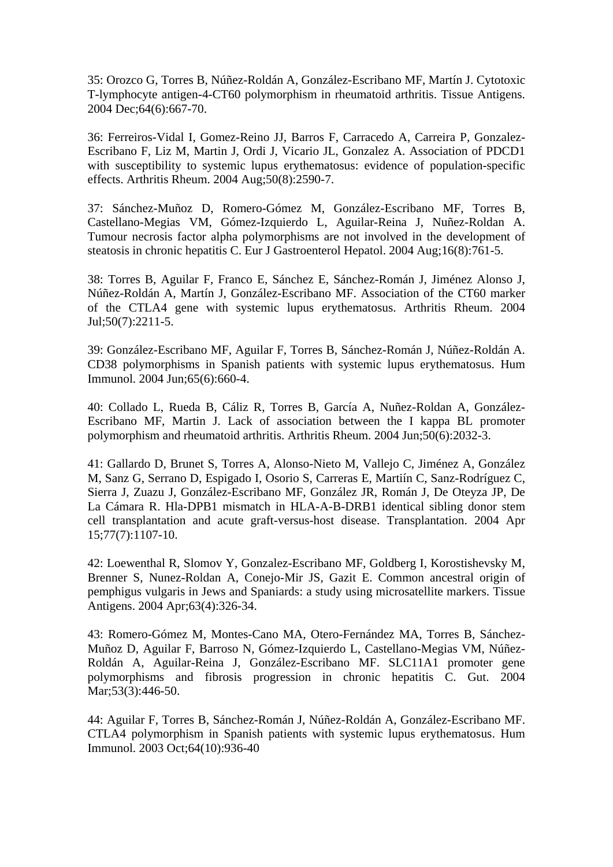35: Orozco G, Torres B, Núñez-Roldán A, González-Escribano MF, Martín J. Cytotoxic T-lymphocyte antigen-4-CT60 polymorphism in rheumatoid arthritis. Tissue Antigens. 2004 Dec;64(6):667-70.

36: Ferreiros-Vidal I, Gomez-Reino JJ, Barros F, Carracedo A, Carreira P, Gonzalez-Escribano F, Liz M, Martin J, Ordi J, Vicario JL, Gonzalez A. Association of PDCD1 with susceptibility to systemic lupus erythematosus: evidence of population-specific effects. Arthritis Rheum. 2004 Aug;50(8):2590-7.

37: Sánchez-Muñoz D, Romero-Gómez M, González-Escribano MF, Torres B, Castellano-Megias VM, Gómez-Izquierdo L, Aguilar-Reina J, Nuñez-Roldan A. Tumour necrosis factor alpha polymorphisms are not involved in the development of steatosis in chronic hepatitis C. Eur J Gastroenterol Hepatol. 2004 Aug;16(8):761-5.

38: Torres B, Aguilar F, Franco E, Sánchez E, Sánchez-Román J, Jiménez Alonso J, Núñez-Roldán A, Martín J, González-Escribano MF. Association of the CT60 marker of the CTLA4 gene with systemic lupus erythematosus. Arthritis Rheum. 2004 Jul;50(7):2211-5.

39: González-Escribano MF, Aguilar F, Torres B, Sánchez-Román J, Núñez-Roldán A. CD38 polymorphisms in Spanish patients with systemic lupus erythematosus. Hum Immunol. 2004 Jun;65(6):660-4.

40: Collado L, Rueda B, Cáliz R, Torres B, García A, Nuñez-Roldan A, González-Escribano MF, Martin J. Lack of association between the I kappa BL promoter polymorphism and rheumatoid arthritis. Arthritis Rheum. 2004 Jun;50(6):2032-3.

41: Gallardo D, Brunet S, Torres A, Alonso-Nieto M, Vallejo C, Jiménez A, González M, Sanz G, Serrano D, Espigado I, Osorio S, Carreras E, Martiín C, Sanz-Rodríguez C, Sierra J, Zuazu J, González-Escribano MF, González JR, Román J, De Oteyza JP, De La Cámara R. Hla-DPB1 mismatch in HLA-A-B-DRB1 identical sibling donor stem cell transplantation and acute graft-versus-host disease. Transplantation. 2004 Apr 15;77(7):1107-10.

42: Loewenthal R, Slomov Y, Gonzalez-Escribano MF, Goldberg I, Korostishevsky M, Brenner S, Nunez-Roldan A, Conejo-Mir JS, Gazit E. Common ancestral origin of pemphigus vulgaris in Jews and Spaniards: a study using microsatellite markers. Tissue Antigens. 2004 Apr;63(4):326-34.

43: Romero-Gómez M, Montes-Cano MA, Otero-Fernández MA, Torres B, Sánchez-Muñoz D, Aguilar F, Barroso N, Gómez-Izquierdo L, Castellano-Megias VM, Núñez-Roldán A, Aguilar-Reina J, González-Escribano MF. SLC11A1 promoter gene polymorphisms and fibrosis progression in chronic hepatitis C. Gut. 2004 Mar;53(3):446-50.

44: Aguilar F, Torres B, Sánchez-Román J, Núñez-Roldán A, González-Escribano MF. CTLA4 polymorphism in Spanish patients with systemic lupus erythematosus. Hum Immunol. 2003 Oct;64(10):936-40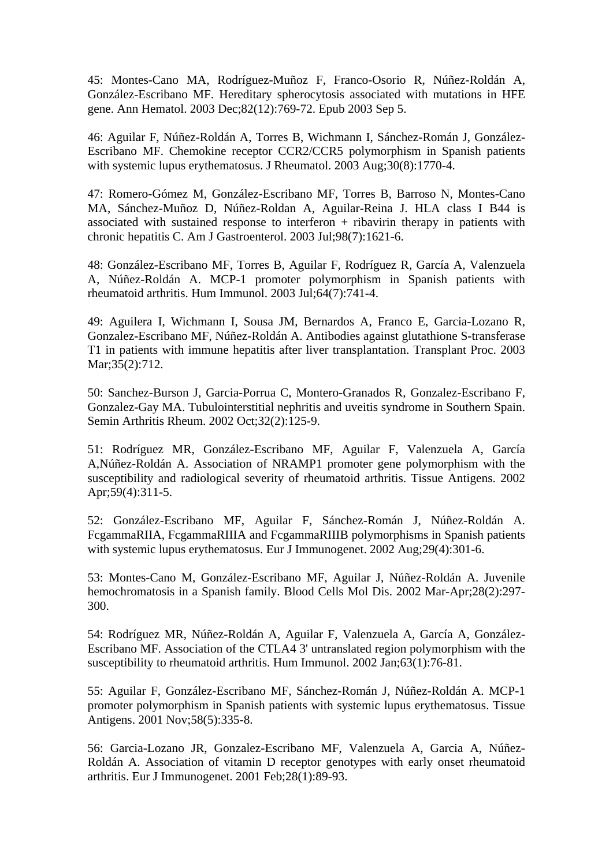45: Montes-Cano MA, Rodríguez-Muñoz F, Franco-Osorio R, Núñez-Roldán A, González-Escribano MF. Hereditary spherocytosis associated with mutations in HFE gene. Ann Hematol. 2003 Dec;82(12):769-72. Epub 2003 Sep 5.

46: Aguilar F, Núñez-Roldán A, Torres B, Wichmann I, Sánchez-Román J, González-Escribano MF. Chemokine receptor CCR2/CCR5 polymorphism in Spanish patients with systemic lupus erythematosus. J Rheumatol. 2003 Aug;30(8):1770-4.

47: Romero-Gómez M, González-Escribano MF, Torres B, Barroso N, Montes-Cano MA, Sánchez-Muñoz D, Núñez-Roldan A, Aguilar-Reina J. HLA class I B44 is associated with sustained response to interferon  $+$  ribavirin therapy in patients with chronic hepatitis C. Am J Gastroenterol. 2003 Jul;98(7):1621-6.

48: González-Escribano MF, Torres B, Aguilar F, Rodríguez R, García A, Valenzuela A, Núñez-Roldán A. MCP-1 promoter polymorphism in Spanish patients with rheumatoid arthritis. Hum Immunol. 2003 Jul;64(7):741-4.

49: Aguilera I, Wichmann I, Sousa JM, Bernardos A, Franco E, Garcia-Lozano R, Gonzalez-Escribano MF, Núñez-Roldán A. Antibodies against glutathione S-transferase T1 in patients with immune hepatitis after liver transplantation. Transplant Proc. 2003 Mar;35(2):712.

50: Sanchez-Burson J, Garcia-Porrua C, Montero-Granados R, Gonzalez-Escribano F, Gonzalez-Gay MA. Tubulointerstitial nephritis and uveitis syndrome in Southern Spain. Semin Arthritis Rheum. 2002 Oct;32(2):125-9.

51: Rodríguez MR, González-Escribano MF, Aguilar F, Valenzuela A, García A,Núñez-Roldán A. Association of NRAMP1 promoter gene polymorphism with the susceptibility and radiological severity of rheumatoid arthritis. Tissue Antigens. 2002 Apr;59(4):311-5.

52: González-Escribano MF, Aguilar F, Sánchez-Román J, Núñez-Roldán A. FcgammaRIIA, FcgammaRIIIA and FcgammaRIIIB polymorphisms in Spanish patients with systemic lupus erythematosus. Eur J Immunogenet. 2002 Aug;29(4):301-6.

53: Montes-Cano M, González-Escribano MF, Aguilar J, Núñez-Roldán A. Juvenile hemochromatosis in a Spanish family. Blood Cells Mol Dis. 2002 Mar-Apr;28(2):297- 300.

54: Rodríguez MR, Núñez-Roldán A, Aguilar F, Valenzuela A, García A, González-Escribano MF. Association of the CTLA4 3' untranslated region polymorphism with the susceptibility to rheumatoid arthritis. Hum Immunol. 2002 Jan;63(1):76-81.

55: Aguilar F, González-Escribano MF, Sánchez-Román J, Núñez-Roldán A. MCP-1 promoter polymorphism in Spanish patients with systemic lupus erythematosus. Tissue Antigens. 2001 Nov;58(5):335-8.

56: Garcia-Lozano JR, Gonzalez-Escribano MF, Valenzuela A, Garcia A, Núñez-Roldán A. Association of vitamin D receptor genotypes with early onset rheumatoid arthritis. Eur J Immunogenet. 2001 Feb;28(1):89-93.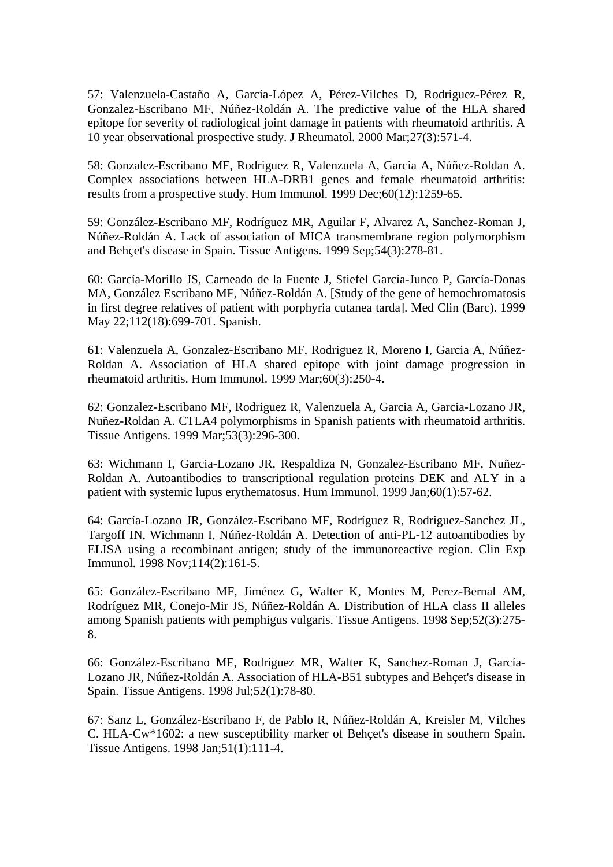57: Valenzuela-Castaño A, García-López A, Pérez-Vilches D, Rodriguez-Pérez R, Gonzalez-Escribano MF, Núñez-Roldán A. The predictive value of the HLA shared epitope for severity of radiological joint damage in patients with rheumatoid arthritis. A 10 year observational prospective study. J Rheumatol. 2000 Mar;27(3):571-4.

58: Gonzalez-Escribano MF, Rodriguez R, Valenzuela A, Garcia A, Núñez-Roldan A. Complex associations between HLA-DRB1 genes and female rheumatoid arthritis: results from a prospective study. Hum Immunol. 1999 Dec;60(12):1259-65.

59: González-Escribano MF, Rodríguez MR, Aguilar F, Alvarez A, Sanchez-Roman J, Núñez-Roldán A. Lack of association of MICA transmembrane region polymorphism and Behçet's disease in Spain. Tissue Antigens. 1999 Sep;54(3):278-81.

60: García-Morillo JS, Carneado de la Fuente J, Stiefel García-Junco P, García-Donas MA, González Escribano MF, Núñez-Roldán A. [Study of the gene of hemochromatosis in first degree relatives of patient with porphyria cutanea tarda]. Med Clin (Barc). 1999 May 22;112(18):699-701. Spanish.

61: Valenzuela A, Gonzalez-Escribano MF, Rodriguez R, Moreno I, Garcia A, Núñez-Roldan A. Association of HLA shared epitope with joint damage progression in rheumatoid arthritis. Hum Immunol. 1999 Mar;60(3):250-4.

62: Gonzalez-Escribano MF, Rodriguez R, Valenzuela A, Garcia A, Garcia-Lozano JR, Nuñez-Roldan A. CTLA4 polymorphisms in Spanish patients with rheumatoid arthritis. Tissue Antigens. 1999 Mar;53(3):296-300.

63: Wichmann I, Garcia-Lozano JR, Respaldiza N, Gonzalez-Escribano MF, Nuñez-Roldan A. Autoantibodies to transcriptional regulation proteins DEK and ALY in a patient with systemic lupus erythematosus. Hum Immunol. 1999 Jan;60(1):57-62.

64: García-Lozano JR, González-Escribano MF, Rodríguez R, Rodriguez-Sanchez JL, Targoff IN, Wichmann I, Núñez-Roldán A. Detection of anti-PL-12 autoantibodies by ELISA using a recombinant antigen; study of the immunoreactive region. Clin Exp Immunol. 1998 Nov;114(2):161-5.

65: González-Escribano MF, Jiménez G, Walter K, Montes M, Perez-Bernal AM, Rodríguez MR, Conejo-Mir JS, Núñez-Roldán A. Distribution of HLA class II alleles among Spanish patients with pemphigus vulgaris. Tissue Antigens. 1998 Sep;52(3):275- 8.

66: González-Escribano MF, Rodríguez MR, Walter K, Sanchez-Roman J, García-Lozano JR, Núñez-Roldán A. Association of HLA-B51 subtypes and Behçet's disease in Spain. Tissue Antigens. 1998 Jul;52(1):78-80.

67: Sanz L, González-Escribano F, de Pablo R, Núñez-Roldán A, Kreisler M, Vilches C. HLA-Cw\*1602: a new susceptibility marker of Behçet's disease in southern Spain. Tissue Antigens. 1998 Jan;51(1):111-4.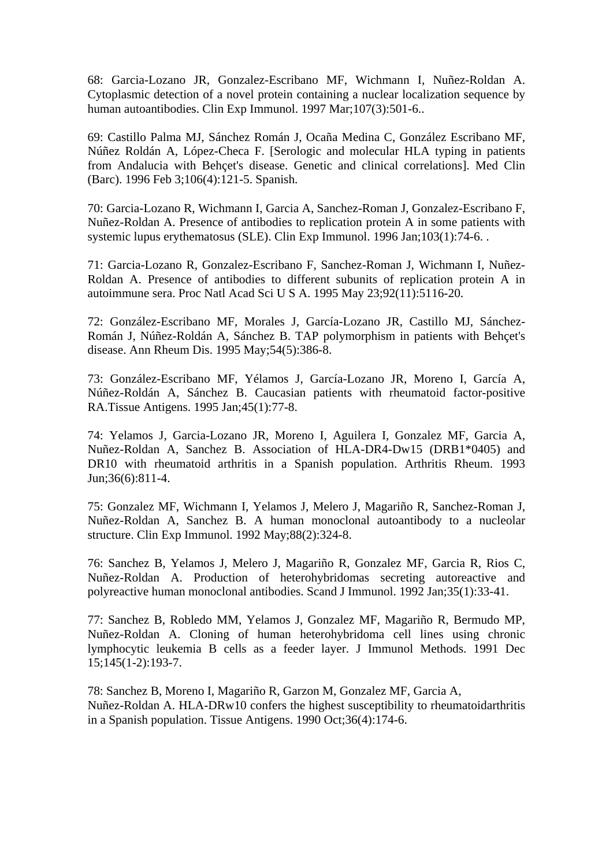68: Garcia-Lozano JR, Gonzalez-Escribano MF, Wichmann I, Nuñez-Roldan A. Cytoplasmic detection of a novel protein containing a nuclear localization sequence by human autoantibodies. Clin Exp Immunol. 1997 Mar;107(3):501-6..

69: Castillo Palma MJ, Sánchez Román J, Ocaña Medina C, González Escribano MF, Núñez Roldán A, López-Checa F. [Serologic and molecular HLA typing in patients from Andalucia with Behçet's disease. Genetic and clinical correlations]. Med Clin (Barc). 1996 Feb 3;106(4):121-5. Spanish.

70: Garcia-Lozano R, Wichmann I, Garcia A, Sanchez-Roman J, Gonzalez-Escribano F, Nuñez-Roldan A. Presence of antibodies to replication protein A in some patients with systemic lupus erythematosus (SLE). Clin Exp Immunol. 1996 Jan;103(1):74-6. .

71: Garcia-Lozano R, Gonzalez-Escribano F, Sanchez-Roman J, Wichmann I, Nuñez-Roldan A. Presence of antibodies to different subunits of replication protein A in autoimmune sera. Proc Natl Acad Sci U S A. 1995 May 23;92(11):5116-20.

72: González-Escribano MF, Morales J, García-Lozano JR, Castillo MJ, Sánchez-Román J, Núñez-Roldán A, Sánchez B. TAP polymorphism in patients with Behçet's disease. Ann Rheum Dis. 1995 May;54(5):386-8.

73: González-Escribano MF, Yélamos J, García-Lozano JR, Moreno I, García A, Núñez-Roldán A, Sánchez B. Caucasian patients with rheumatoid factor-positive RA.Tissue Antigens. 1995 Jan;45(1):77-8.

74: Yelamos J, Garcia-Lozano JR, Moreno I, Aguilera I, Gonzalez MF, Garcia A, Nuñez-Roldan A, Sanchez B. Association of HLA-DR4-Dw15 (DRB1\*0405) and DR10 with rheumatoid arthritis in a Spanish population. Arthritis Rheum. 1993 Jun;36(6):811-4.

75: Gonzalez MF, Wichmann I, Yelamos J, Melero J, Magariño R, Sanchez-Roman J, Nuñez-Roldan A, Sanchez B. A human monoclonal autoantibody to a nucleolar structure. Clin Exp Immunol. 1992 May;88(2):324-8.

76: Sanchez B, Yelamos J, Melero J, Magariño R, Gonzalez MF, Garcia R, Rios C, Nuñez-Roldan A. Production of heterohybridomas secreting autoreactive and polyreactive human monoclonal antibodies. Scand J Immunol. 1992 Jan;35(1):33-41.

77: Sanchez B, Robledo MM, Yelamos J, Gonzalez MF, Magariño R, Bermudo MP, Nuñez-Roldan A. Cloning of human heterohybridoma cell lines using chronic lymphocytic leukemia B cells as a feeder layer. J Immunol Methods. 1991 Dec 15;145(1-2):193-7.

78: Sanchez B, Moreno I, Magariño R, Garzon M, Gonzalez MF, Garcia A, Nuñez-Roldan A. HLA-DRw10 confers the highest susceptibility to rheumatoidarthritis in a Spanish population. Tissue Antigens. 1990 Oct;36(4):174-6.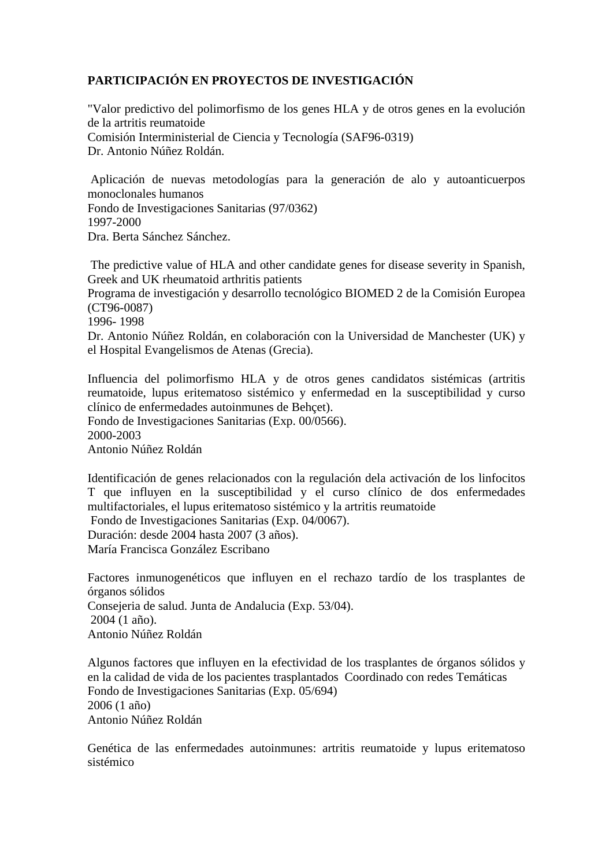## **PARTICIPACIÓN EN PROYECTOS DE INVESTIGACIÓN**

"Valor predictivo del polimorfismo de los genes HLA y de otros genes en la evolución de la artritis reumatoide Comisión Interministerial de Ciencia y Tecnología (SAF96-0319) Dr. Antonio Núñez Roldán.

 Aplicación de nuevas metodologías para la generación de alo y autoanticuerpos monoclonales humanos Fondo de Investigaciones Sanitarias (97/0362) 1997-2000 Dra. Berta Sánchez Sánchez.

 The predictive value of HLA and other candidate genes for disease severity in Spanish, Greek and UK rheumatoid arthritis patients

Programa de investigación y desarrollo tecnológico BIOMED 2 de la Comisión Europea (CT96-0087)

1996- 1998

Dr. Antonio Núñez Roldán, en colaboración con la Universidad de Manchester (UK) y el Hospital Evangelismos de Atenas (Grecia).

Influencia del polimorfismo HLA y de otros genes candidatos sistémicas (artritis reumatoide, lupus eritematoso sistémico y enfermedad en la susceptibilidad y curso clínico de enfermedades autoinmunes de Behçet).

Fondo de Investigaciones Sanitarias (Exp. 00/0566). 2000-2003 Antonio Núñez Roldán

Identificación de genes relacionados con la regulación dela activación de los linfocitos T que influyen en la susceptibilidad y el curso clínico de dos enfermedades multifactoriales, el lupus eritematoso sistémico y la artritis reumatoide Fondo de Investigaciones Sanitarias (Exp. 04/0067).

Duración: desde 2004 hasta 2007 (3 años).

María Francisca González Escribano

Factores inmunogenéticos que influyen en el rechazo tardío de los trasplantes de órganos sólidos Consejeria de salud. Junta de Andalucia (Exp. 53/04). 2004 (1 año). Antonio Núñez Roldán

Algunos factores que influyen en la efectividad de los trasplantes de órganos sólidos y en la calidad de vida de los pacientes trasplantados Coordinado con redes Temáticas Fondo de Investigaciones Sanitarias (Exp. 05/694) 2006 (1 año) Antonio Núñez Roldán

Genética de las enfermedades autoinmunes: artritis reumatoide y lupus eritematoso sistémico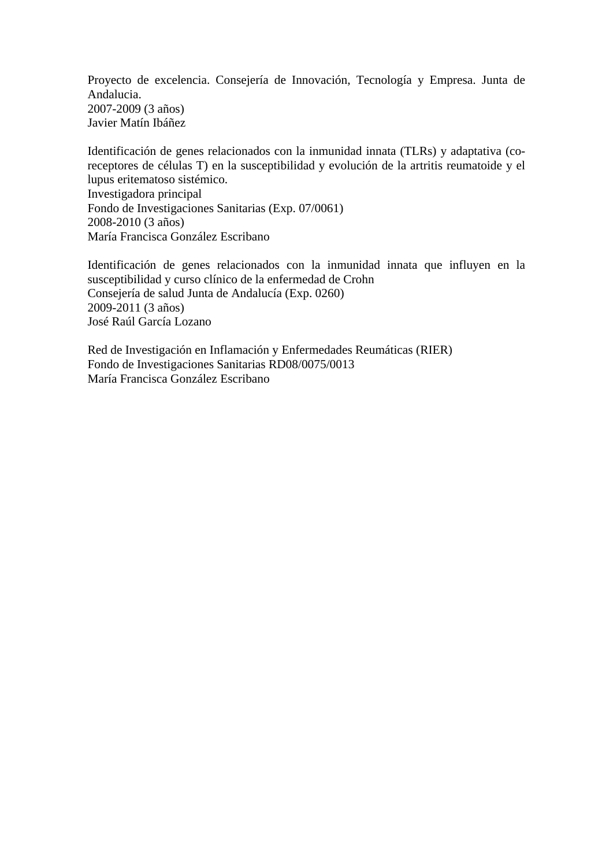Proyecto de excelencia. Consejería de Innovación, Tecnología y Empresa. Junta de Andalucia. 2007-2009 (3 años) Javier Matín Ibáñez

Identificación de genes relacionados con la inmunidad innata (TLRs) y adaptativa (coreceptores de células T) en la susceptibilidad y evolución de la artritis reumatoide y el lupus eritematoso sistémico. Investigadora principal Fondo de Investigaciones Sanitarias (Exp. 07/0061) 2008-2010 (3 años) María Francisca González Escribano

Identificación de genes relacionados con la inmunidad innata que influyen en la susceptibilidad y curso clínico de la enfermedad de Crohn Consejería de salud Junta de Andalucía (Exp. 0260) 2009-2011 (3 años) José Raúl García Lozano

Red de Investigación en Inflamación y Enfermedades Reumáticas (RIER) Fondo de Investigaciones Sanitarias RD08/0075/0013 María Francisca González Escribano